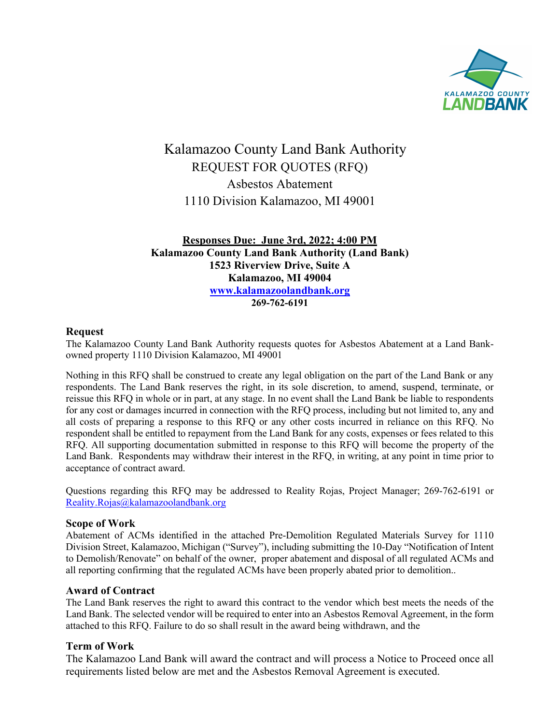

# Kalamazoo County Land Bank Authority REQUEST FOR QUOTES (RFQ) Asbestos Abatement 1110 Division Kalamazoo, MI 49001

**Responses Due: June 3rd, 2022; 4:00 PM Kalamazoo County Land Bank Authority (Land Bank) 1523 Riverview Drive, Suite A Kalamazoo, MI 49004 www.kalamazoolandbank.org 269-762-6191**

## **Request**

The Kalamazoo County Land Bank Authority requests quotes for Asbestos Abatement at a Land Bankowned property 1110 Division Kalamazoo, MI 49001

Nothing in this RFQ shall be construed to create any legal obligation on the part of the Land Bank or any respondents. The Land Bank reserves the right, in its sole discretion, to amend, suspend, terminate, or reissue this RFQ in whole or in part, at any stage. In no event shall the Land Bank be liable to respondents for any cost or damages incurred in connection with the RFQ process, including but not limited to, any and all costs of preparing a response to this RFQ or any other costs incurred in reliance on this RFQ. No respondent shall be entitled to repayment from the Land Bank for any costs, expenses or fees related to this RFQ. All supporting documentation submitted in response to this RFQ will become the property of the Land Bank. Respondents may withdraw their interest in the RFQ, in writing, at any point in time prior to acceptance of contract award.

Questions regarding this RFQ may be addressed to Reality Rojas, Project Manager; 269-762-6191 or Reality.Rojas@kalamazoolandbank.org

## **Scope of Work**

Abatement of ACMs identified in the attached Pre-Demolition Regulated Materials Survey for 1110 Division Street, Kalamazoo, Michigan ("Survey"), including submitting the 10-Day "Notification of Intent to Demolish/Renovate" on behalf of the owner, proper abatement and disposal of all regulated ACMs and all reporting confirming that the regulated ACMs have been properly abated prior to demolition..

## **Award of Contract**

The Land Bank reserves the right to award this contract to the vendor which best meets the needs of the Land Bank. The selected vendor will be required to enter into an Asbestos Removal Agreement, in the form attached to this RFQ. Failure to do so shall result in the award being withdrawn, and the

## **Term of Work**

The Kalamazoo Land Bank will award the contract and will process a Notice to Proceed once all requirements listed below are met and the Asbestos Removal Agreement is executed.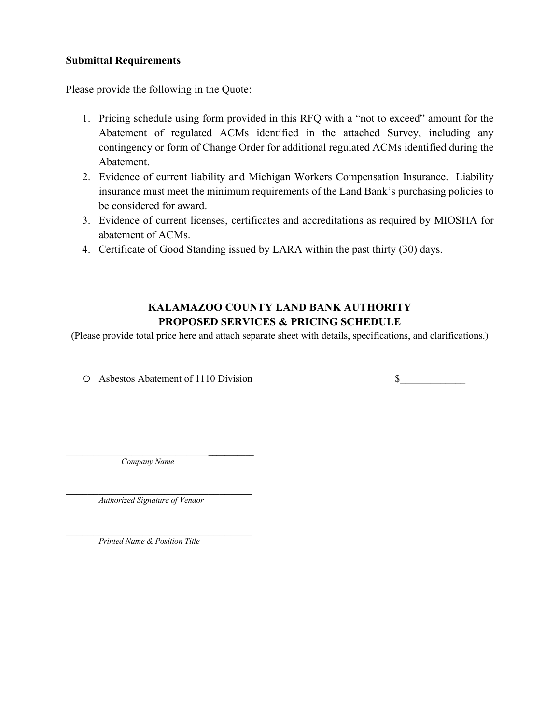## **Submittal Requirements**

Please provide the following in the Quote:

- 1. Pricing schedule using form provided in this RFQ with a "not to exceed" amount for the Abatement of regulated ACMs identified in the attached Survey, including any contingency or form of Change Order for additional regulated ACMs identified during the Abatement.
- 2. Evidence of current liability and Michigan Workers Compensation Insurance. Liability insurance must meet the minimum requirements of the Land Bank's purchasing policies to be considered for award.
- 3. Evidence of current licenses, certificates and accreditations as required by MIOSHA for abatement of ACMs.
- 4. Certificate of Good Standing issued by LARA within the past thirty (30) days.

# **KALAMAZOO COUNTY LAND BANK AUTHORITY PROPOSED SERVICES & PRICING SCHEDULE**

(Please provide total price here and attach separate sheet with details, specifications, and clarifications.)

o Asbestos Abatement of 1110 Division \$\_\_\_\_\_\_\_\_\_\_\_\_\_

 $\mathcal{L}_\text{max}$  , and the set of the set of the set of the set of the set of the set of the set of the set of the set of the set of the set of the set of the set of the set of the set of the set of the set of the set of the  *Company Name*

*Authorized Signature of Vendor*

*Printed Name & Position Title*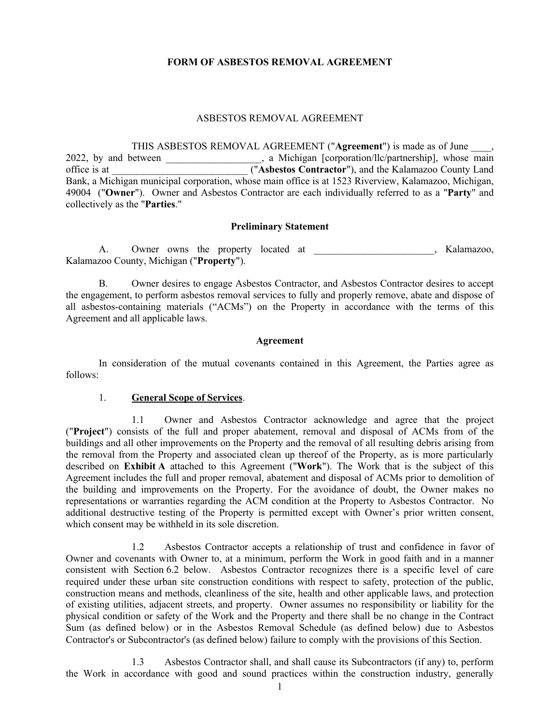#### **FORM OF ASBESTOS REMOVAL AGREEMENT**

#### ASBESTOS REMOVAL AGREEMENT

THIS ASBESTOS REMOVAL AGREEMENT ("**Agreement**") is made as of June \_\_\_\_, 2022, by and between  $\qquad \qquad$ , a Michigan [corporation/llc/partnership], whose main office is at \_\_\_\_\_\_\_\_\_\_\_\_\_\_\_\_\_\_\_\_\_\_\_\_\_\_\_ ("**Asbestos Contractor**"), and the Kalamazoo County Land Bank, a Michigan municipal corporation, whose main office is at 1523 Riverview, Kalamazoo, Michigan, 49004 ("**Owner**"). Owner and Asbestos Contractor are each individually referred to as a "**Party**" and collectively as the "**Parties**."

#### **Preliminary Statement**

A. Owner owns the property located at the state of the Shamazoo, Kalamazoo, Kalamazoo County, Michigan ("**Property**").

B. Owner desires to engage Asbestos Contractor, and Asbestos Contractor desires to accept the engagement, to perform asbestos removal services to fully and properly remove, abate and dispose of all asbestos-containing materials ("ACMs") on the Property in accordance with the terms of this Agreement and all applicable laws.

#### **Agreement**

In consideration of the mutual covenants contained in this Agreement, the Parties agree as follows:

#### 1. **General Scope of Services**.

1.1 Owner and Asbestos Contractor acknowledge and agree that the project ("**Project**") consists of the full and proper abatement, removal and disposal of ACMs from of the buildings and all other improvements on the Property and the removal of all resulting debris arising from the removal from the Property and associated clean up thereof of the Property, as is more particularly described on **Exhibit A** attached to this Agreement ("**Work**"). The Work that is the subject of this Agreement includes the full and proper removal, abatement and disposal of ACMs prior to demolition of the building and improvements on the Property. For the avoidance of doubt, the Owner makes no representations or warranties regarding the ACM condition at the Property to Asbestos Contractor. No additional destructive testing of the Property is permitted except with Owner's prior written consent, which consent may be withheld in its sole discretion.

1.2 Asbestos Contractor accepts a relationship of trust and confidence in favor of Owner and covenants with Owner to, at a minimum, perform the Work in good faith and in a manner consistent with Section 6.2 below. Asbestos Contractor recognizes there is a specific level of care required under these urban site construction conditions with respect to safety, protection of the public, construction means and methods, cleanliness of the site, health and other applicable laws, and protection of existing utilities, adjacent streets, and property. Owner assumes no responsibility or liability for the physical condition or safety of the Work and the Property and there shall be no change in the Contract Sum (as defined below) or in the Asbestos Removal Schedule (as defined below) due to Asbestos Contractor's or Subcontractor's (as defined below) failure to comply with the provisions of this Section.

1.3 Asbestos Contractor shall, and shall cause its Subcontractors (if any) to, perform the Work in accordance with good and sound practices within the construction industry, generally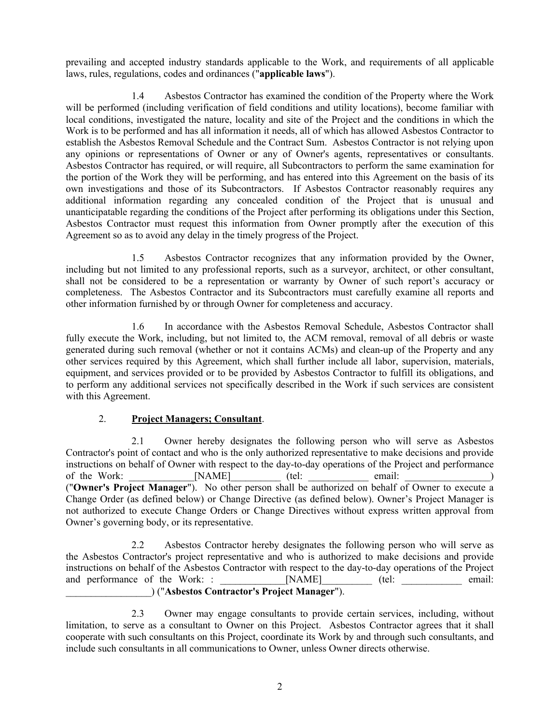prevailing and accepted industry standards applicable to the Work, and requirements of all applicable laws, rules, regulations, codes and ordinances ("**applicable laws**").

1.4 Asbestos Contractor has examined the condition of the Property where the Work will be performed (including verification of field conditions and utility locations), become familiar with local conditions, investigated the nature, locality and site of the Project and the conditions in which the Work is to be performed and has all information it needs, all of which has allowed Asbestos Contractor to establish the Asbestos Removal Schedule and the Contract Sum. Asbestos Contractor is not relying upon any opinions or representations of Owner or any of Owner's agents, representatives or consultants. Asbestos Contractor has required, or will require, all Subcontractors to perform the same examination for the portion of the Work they will be performing, and has entered into this Agreement on the basis of its own investigations and those of its Subcontractors. If Asbestos Contractor reasonably requires any additional information regarding any concealed condition of the Project that is unusual and unanticipatable regarding the conditions of the Project after performing its obligations under this Section, Asbestos Contractor must request this information from Owner promptly after the execution of this Agreement so as to avoid any delay in the timely progress of the Project.

1.5 Asbestos Contractor recognizes that any information provided by the Owner, including but not limited to any professional reports, such as a surveyor, architect, or other consultant, shall not be considered to be a representation or warranty by Owner of such report's accuracy or completeness. The Asbestos Contractor and its Subcontractors must carefully examine all reports and other information furnished by or through Owner for completeness and accuracy.

1.6 In accordance with the Asbestos Removal Schedule, Asbestos Contractor shall fully execute the Work, including, but not limited to, the ACM removal, removal of all debris or waste generated during such removal (whether or not it contains ACMs) and clean-up of the Property and any other services required by this Agreement, which shall further include all labor, supervision, materials, equipment, and services provided or to be provided by Asbestos Contractor to fulfill its obligations, and to perform any additional services not specifically described in the Work if such services are consistent with this Agreement.

## 2. **Project Managers; Consultant**.

2.1 Owner hereby designates the following person who will serve as Asbestos Contractor's point of contact and who is the only authorized representative to make decisions and provide instructions on behalf of Owner with respect to the day-to-day operations of the Project and performance of the Work:  $[NAME]$  (tel: email: ) ("**Owner's Project Manager**"). No other person shall be authorized on behalf of Owner to execute a Change Order (as defined below) or Change Directive (as defined below). Owner's Project Manager is not authorized to execute Change Orders or Change Directives without express written approval from Owner's governing body, or its representative.

2.2 Asbestos Contractor hereby designates the following person who will serve as the Asbestos Contractor's project representative and who is authorized to make decisions and provide instructions on behalf of the Asbestos Contractor with respect to the day-to-day operations of the Project and performance of the Work: :  $[NAME]$  (tel: email: email: \_\_\_\_\_\_\_\_\_\_\_\_\_\_\_\_\_) ("**Asbestos Contractor's Project Manager**").

2.3 Owner may engage consultants to provide certain services, including, without limitation, to serve as a consultant to Owner on this Project. Asbestos Contractor agrees that it shall cooperate with such consultants on this Project, coordinate its Work by and through such consultants, and include such consultants in all communications to Owner, unless Owner directs otherwise.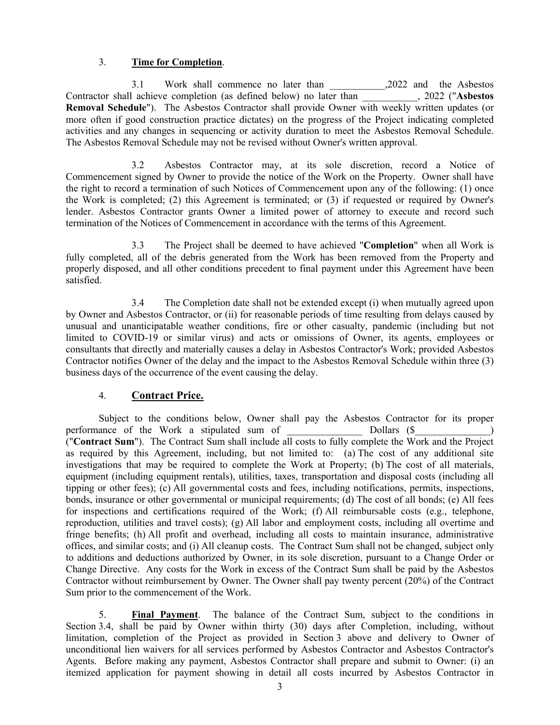#### 3. **Time for Completion**.

3.1 Work shall commence no later than \_\_\_\_\_\_\_\_\_\_\_,2022 and the Asbestos Contractor shall achieve completion (as defined below) no later than \_\_\_\_\_\_\_\_\_\_\_, 2022 ("**Asbestos Removal Schedule**"). The Asbestos Contractor shall provide Owner with weekly written updates (or more often if good construction practice dictates) on the progress of the Project indicating completed activities and any changes in sequencing or activity duration to meet the Asbestos Removal Schedule. The Asbestos Removal Schedule may not be revised without Owner's written approval.

3.2 Asbestos Contractor may, at its sole discretion, record a Notice of Commencement signed by Owner to provide the notice of the Work on the Property. Owner shall have the right to record a termination of such Notices of Commencement upon any of the following: (1) once the Work is completed; (2) this Agreement is terminated; or (3) if requested or required by Owner's lender. Asbestos Contractor grants Owner a limited power of attorney to execute and record such termination of the Notices of Commencement in accordance with the terms of this Agreement.

3.3 The Project shall be deemed to have achieved "**Completion**" when all Work is fully completed, all of the debris generated from the Work has been removed from the Property and properly disposed, and all other conditions precedent to final payment under this Agreement have been satisfied.

3.4 The Completion date shall not be extended except (i) when mutually agreed upon by Owner and Asbestos Contractor, or (ii) for reasonable periods of time resulting from delays caused by unusual and unanticipatable weather conditions, fire or other casualty, pandemic (including but not limited to COVID-19 or similar virus) and acts or omissions of Owner, its agents, employees or consultants that directly and materially causes a delay in Asbestos Contractor's Work; provided Asbestos Contractor notifies Owner of the delay and the impact to the Asbestos Removal Schedule within three (3) business days of the occurrence of the event causing the delay.

## 4. **Contract Price.**

Subject to the conditions below, Owner shall pay the Asbestos Contractor for its proper performance of the Work a stipulated sum of  $\qquad \qquad$  Dollars (\$ ("**Contract Sum**"). The Contract Sum shall include all costs to fully complete the Work and the Project as required by this Agreement, including, but not limited to: (a) The cost of any additional site investigations that may be required to complete the Work at Property; (b) The cost of all materials, equipment (including equipment rentals), utilities, taxes, transportation and disposal costs (including all tipping or other fees); (c) All governmental costs and fees, including notifications, permits, inspections, bonds, insurance or other governmental or municipal requirements; (d) The cost of all bonds; (e) All fees for inspections and certifications required of the Work; (f) All reimbursable costs (e.g., telephone, reproduction, utilities and travel costs); (g) All labor and employment costs, including all overtime and fringe benefits; (h) All profit and overhead, including all costs to maintain insurance, administrative offices, and similar costs; and (i) All cleanup costs. The Contract Sum shall not be changed, subject only to additions and deductions authorized by Owner, in its sole discretion, pursuant to a Change Order or Change Directive. Any costs for the Work in excess of the Contract Sum shall be paid by the Asbestos Contractor without reimbursement by Owner. The Owner shall pay twenty percent (20%) of the Contract Sum prior to the commencement of the Work.

5. **Final Payment**. The balance of the Contract Sum, subject to the conditions in Section 3.4, shall be paid by Owner within thirty (30) days after Completion, including, without limitation, completion of the Project as provided in Section 3 above and delivery to Owner of unconditional lien waivers for all services performed by Asbestos Contractor and Asbestos Contractor's Agents. Before making any payment, Asbestos Contractor shall prepare and submit to Owner: (i) an itemized application for payment showing in detail all costs incurred by Asbestos Contractor in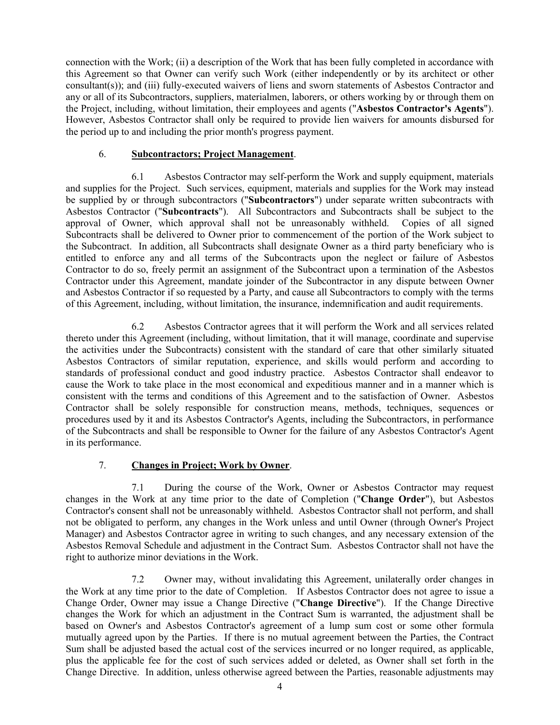connection with the Work; (ii) a description of the Work that has been fully completed in accordance with this Agreement so that Owner can verify such Work (either independently or by its architect or other consultant(s)); and (iii) fully-executed waivers of liens and sworn statements of Asbestos Contractor and any or all of its Subcontractors, suppliers, materialmen, laborers, or others working by or through them on the Project, including, without limitation, their employees and agents ("**Asbestos Contractor's Agents**"). However, Asbestos Contractor shall only be required to provide lien waivers for amounts disbursed for the period up to and including the prior month's progress payment.

#### 6. **Subcontractors; Project Management**.

6.1 Asbestos Contractor may self-perform the Work and supply equipment, materials and supplies for the Project. Such services, equipment, materials and supplies for the Work may instead be supplied by or through subcontractors ("**Subcontractors**") under separate written subcontracts with Asbestos Contractor ("**Subcontracts**"). All Subcontractors and Subcontracts shall be subject to the approval of Owner, which approval shall not be unreasonably withheld. Copies of all signed Subcontracts shall be delivered to Owner prior to commencement of the portion of the Work subject to the Subcontract. In addition, all Subcontracts shall designate Owner as a third party beneficiary who is entitled to enforce any and all terms of the Subcontracts upon the neglect or failure of Asbestos Contractor to do so, freely permit an assignment of the Subcontract upon a termination of the Asbestos Contractor under this Agreement, mandate joinder of the Subcontractor in any dispute between Owner and Asbestos Contractor if so requested by a Party, and cause all Subcontractors to comply with the terms of this Agreement, including, without limitation, the insurance, indemnification and audit requirements.

6.2 Asbestos Contractor agrees that it will perform the Work and all services related thereto under this Agreement (including, without limitation, that it will manage, coordinate and supervise the activities under the Subcontracts) consistent with the standard of care that other similarly situated Asbestos Contractors of similar reputation, experience, and skills would perform and according to standards of professional conduct and good industry practice. Asbestos Contractor shall endeavor to cause the Work to take place in the most economical and expeditious manner and in a manner which is consistent with the terms and conditions of this Agreement and to the satisfaction of Owner. Asbestos Contractor shall be solely responsible for construction means, methods, techniques, sequences or procedures used by it and its Asbestos Contractor's Agents, including the Subcontractors, in performance of the Subcontracts and shall be responsible to Owner for the failure of any Asbestos Contractor's Agent in its performance.

## 7. **Changes in Project; Work by Owner**.

7.1 During the course of the Work, Owner or Asbestos Contractor may request changes in the Work at any time prior to the date of Completion ("**Change Order**"), but Asbestos Contractor's consent shall not be unreasonably withheld. Asbestos Contractor shall not perform, and shall not be obligated to perform, any changes in the Work unless and until Owner (through Owner's Project Manager) and Asbestos Contractor agree in writing to such changes, and any necessary extension of the Asbestos Removal Schedule and adjustment in the Contract Sum. Asbestos Contractor shall not have the right to authorize minor deviations in the Work.

7.2 Owner may, without invalidating this Agreement, unilaterally order changes in the Work at any time prior to the date of Completion. If Asbestos Contractor does not agree to issue a Change Order, Owner may issue a Change Directive ("**Change Directive**"). If the Change Directive changes the Work for which an adjustment in the Contract Sum is warranted, the adjustment shall be based on Owner's and Asbestos Contractor's agreement of a lump sum cost or some other formula mutually agreed upon by the Parties. If there is no mutual agreement between the Parties, the Contract Sum shall be adjusted based the actual cost of the services incurred or no longer required, as applicable, plus the applicable fee for the cost of such services added or deleted, as Owner shall set forth in the Change Directive. In addition, unless otherwise agreed between the Parties, reasonable adjustments may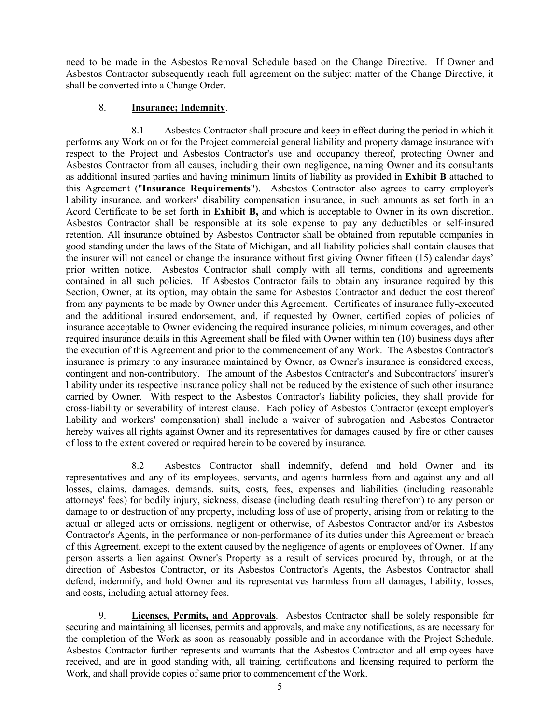need to be made in the Asbestos Removal Schedule based on the Change Directive. If Owner and Asbestos Contractor subsequently reach full agreement on the subject matter of the Change Directive, it shall be converted into a Change Order.

#### 8. **Insurance; Indemnity**.

8.1 Asbestos Contractor shall procure and keep in effect during the period in which it performs any Work on or for the Project commercial general liability and property damage insurance with respect to the Project and Asbestos Contractor's use and occupancy thereof, protecting Owner and Asbestos Contractor from all causes, including their own negligence, naming Owner and its consultants as additional insured parties and having minimum limits of liability as provided in **Exhibit B** attached to this Agreement ("**Insurance Requirements**"). Asbestos Contractor also agrees to carry employer's liability insurance, and workers' disability compensation insurance, in such amounts as set forth in an Acord Certificate to be set forth in **Exhibit B,** and which is acceptable to Owner in its own discretion. Asbestos Contractor shall be responsible at its sole expense to pay any deductibles or self-insured retention. All insurance obtained by Asbestos Contractor shall be obtained from reputable companies in good standing under the laws of the State of Michigan, and all liability policies shall contain clauses that the insurer will not cancel or change the insurance without first giving Owner fifteen (15) calendar days' prior written notice. Asbestos Contractor shall comply with all terms, conditions and agreements contained in all such policies. If Asbestos Contractor fails to obtain any insurance required by this Section, Owner, at its option, may obtain the same for Asbestos Contractor and deduct the cost thereof from any payments to be made by Owner under this Agreement. Certificates of insurance fully-executed and the additional insured endorsement, and, if requested by Owner, certified copies of policies of insurance acceptable to Owner evidencing the required insurance policies, minimum coverages, and other required insurance details in this Agreement shall be filed with Owner within ten (10) business days after the execution of this Agreement and prior to the commencement of any Work. The Asbestos Contractor's insurance is primary to any insurance maintained by Owner, as Owner's insurance is considered excess, contingent and non-contributory. The amount of the Asbestos Contractor's and Subcontractors' insurer's liability under its respective insurance policy shall not be reduced by the existence of such other insurance carried by Owner. With respect to the Asbestos Contractor's liability policies, they shall provide for cross-liability or severability of interest clause. Each policy of Asbestos Contractor (except employer's liability and workers' compensation) shall include a waiver of subrogation and Asbestos Contractor hereby waives all rights against Owner and its representatives for damages caused by fire or other causes of loss to the extent covered or required herein to be covered by insurance.

8.2 Asbestos Contractor shall indemnify, defend and hold Owner and its representatives and any of its employees, servants, and agents harmless from and against any and all losses, claims, damages, demands, suits, costs, fees, expenses and liabilities (including reasonable attorneys' fees) for bodily injury, sickness, disease (including death resulting therefrom) to any person or damage to or destruction of any property, including loss of use of property, arising from or relating to the actual or alleged acts or omissions, negligent or otherwise, of Asbestos Contractor and/or its Asbestos Contractor's Agents, in the performance or non-performance of its duties under this Agreement or breach of this Agreement, except to the extent caused by the negligence of agents or employees of Owner. If any person asserts a lien against Owner's Property as a result of services procured by, through, or at the direction of Asbestos Contractor, or its Asbestos Contractor's Agents, the Asbestos Contractor shall defend, indemnify, and hold Owner and its representatives harmless from all damages, liability, losses, and costs, including actual attorney fees.

9. **Licenses, Permits, and Approvals**. Asbestos Contractor shall be solely responsible for securing and maintaining all licenses, permits and approvals, and make any notifications, as are necessary for the completion of the Work as soon as reasonably possible and in accordance with the Project Schedule. Asbestos Contractor further represents and warrants that the Asbestos Contractor and all employees have received, and are in good standing with, all training, certifications and licensing required to perform the Work, and shall provide copies of same prior to commencement of the Work.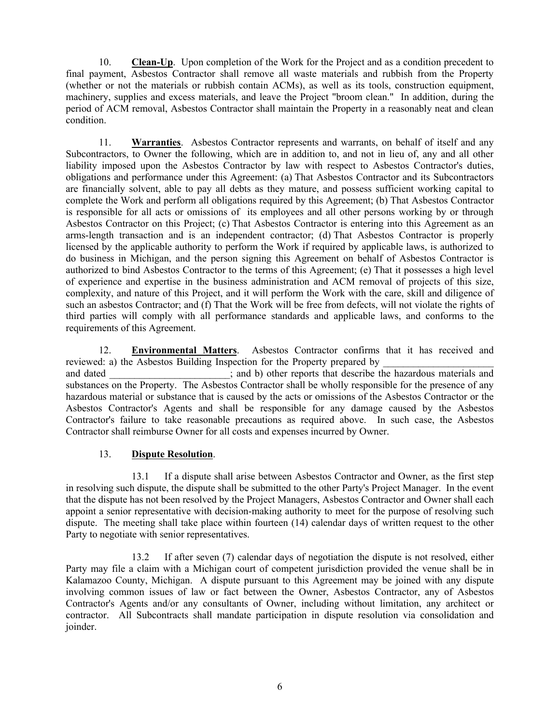10. **Clean-Up**. Upon completion of the Work for the Project and as a condition precedent to final payment, Asbestos Contractor shall remove all waste materials and rubbish from the Property (whether or not the materials or rubbish contain ACMs), as well as its tools, construction equipment, machinery, supplies and excess materials, and leave the Project "broom clean." In addition, during the period of ACM removal, Asbestos Contractor shall maintain the Property in a reasonably neat and clean condition.

11. **Warranties**. Asbestos Contractor represents and warrants, on behalf of itself and any Subcontractors, to Owner the following, which are in addition to, and not in lieu of, any and all other liability imposed upon the Asbestos Contractor by law with respect to Asbestos Contractor's duties, obligations and performance under this Agreement: (a) That Asbestos Contractor and its Subcontractors are financially solvent, able to pay all debts as they mature, and possess sufficient working capital to complete the Work and perform all obligations required by this Agreement; (b) That Asbestos Contractor is responsible for all acts or omissions of its employees and all other persons working by or through Asbestos Contractor on this Project; (c) That Asbestos Contractor is entering into this Agreement as an arms-length transaction and is an independent contractor; (d) That Asbestos Contractor is properly licensed by the applicable authority to perform the Work if required by applicable laws, is authorized to do business in Michigan, and the person signing this Agreement on behalf of Asbestos Contractor is authorized to bind Asbestos Contractor to the terms of this Agreement; (e) That it possesses a high level of experience and expertise in the business administration and ACM removal of projects of this size, complexity, and nature of this Project, and it will perform the Work with the care, skill and diligence of such an asbestos Contractor; and (f) That the Work will be free from defects, will not violate the rights of third parties will comply with all performance standards and applicable laws, and conforms to the requirements of this Agreement.

12. **Environmental Matters**. Asbestos Contractor confirms that it has received and reviewed: a) the Asbestos Building Inspection for the Property prepared by and dated  $\vdots$  and b) other reports that describe the hazardous materials and substances on the Property. The Asbestos Contractor shall be wholly responsible for the presence of any hazardous material or substance that is caused by the acts or omissions of the Asbestos Contractor or the Asbestos Contractor's Agents and shall be responsible for any damage caused by the Asbestos Contractor's failure to take reasonable precautions as required above. In such case, the Asbestos Contractor shall reimburse Owner for all costs and expenses incurred by Owner.

#### 13. **Dispute Resolution**.

13.1 If a dispute shall arise between Asbestos Contractor and Owner, as the first step in resolving such dispute, the dispute shall be submitted to the other Party's Project Manager. In the event that the dispute has not been resolved by the Project Managers, Asbestos Contractor and Owner shall each appoint a senior representative with decision-making authority to meet for the purpose of resolving such dispute. The meeting shall take place within fourteen (14) calendar days of written request to the other Party to negotiate with senior representatives.

13.2 If after seven (7) calendar days of negotiation the dispute is not resolved, either Party may file a claim with a Michigan court of competent jurisdiction provided the venue shall be in Kalamazoo County, Michigan. A dispute pursuant to this Agreement may be joined with any dispute involving common issues of law or fact between the Owner, Asbestos Contractor, any of Asbestos Contractor's Agents and/or any consultants of Owner, including without limitation, any architect or contractor. All Subcontracts shall mandate participation in dispute resolution via consolidation and joinder.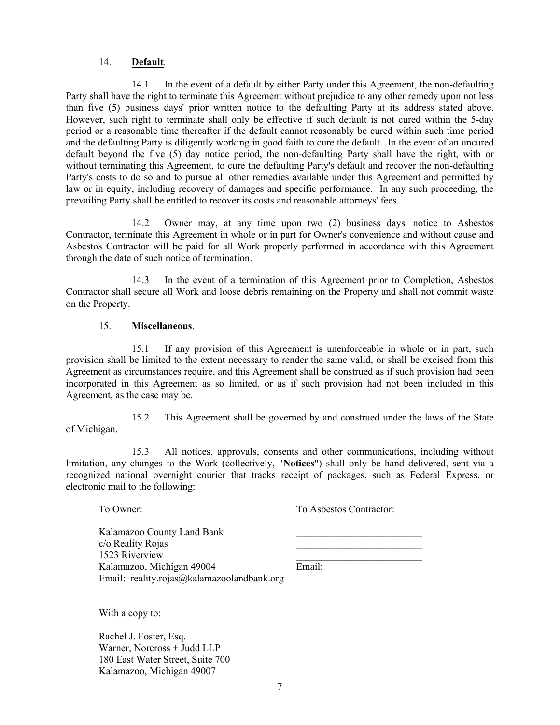#### 14. **Default**.

14.1 In the event of a default by either Party under this Agreement, the non-defaulting Party shall have the right to terminate this Agreement without prejudice to any other remedy upon not less than five (5) business days' prior written notice to the defaulting Party at its address stated above. However, such right to terminate shall only be effective if such default is not cured within the 5-day period or a reasonable time thereafter if the default cannot reasonably be cured within such time period and the defaulting Party is diligently working in good faith to cure the default. In the event of an uncured default beyond the five (5) day notice period, the non-defaulting Party shall have the right, with or without terminating this Agreement, to cure the defaulting Party's default and recover the non-defaulting Party's costs to do so and to pursue all other remedies available under this Agreement and permitted by law or in equity, including recovery of damages and specific performance. In any such proceeding, the prevailing Party shall be entitled to recover its costs and reasonable attorneys' fees.

14.2 Owner may, at any time upon two (2) business days' notice to Asbestos Contractor, terminate this Agreement in whole or in part for Owner's convenience and without cause and Asbestos Contractor will be paid for all Work properly performed in accordance with this Agreement through the date of such notice of termination.

14.3 In the event of a termination of this Agreement prior to Completion, Asbestos Contractor shall secure all Work and loose debris remaining on the Property and shall not commit waste on the Property.

#### 15. **Miscellaneous**.

15.1 If any provision of this Agreement is unenforceable in whole or in part, such provision shall be limited to the extent necessary to render the same valid, or shall be excised from this Agreement as circumstances require, and this Agreement shall be construed as if such provision had been incorporated in this Agreement as so limited, or as if such provision had not been included in this Agreement, as the case may be.

15.2 This Agreement shall be governed by and construed under the laws of the State of Michigan.

15.3 All notices, approvals, consents and other communications, including without limitation, any changes to the Work (collectively, "**Notices**") shall only be hand delivered, sent via a recognized national overnight courier that tracks receipt of packages, such as Federal Express, or electronic mail to the following:

To Owner: To Asbestos Contractor:

Kalamazoo County Land Bank c/o Reality Rojas 1523 Riverview Kalamazoo, Michigan 49004 Email: Email: reality.rojas@kalamazoolandbank.org

With a copy to:

Rachel J. Foster, Esq. Warner, Norcross + Judd LLP 180 East Water Street, Suite 700 Kalamazoo, Michigan 49007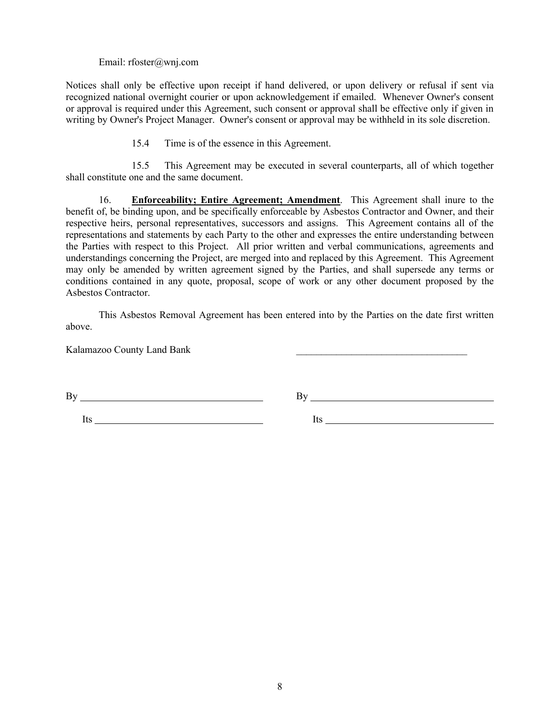Email: rfoster@wnj.com

Notices shall only be effective upon receipt if hand delivered, or upon delivery or refusal if sent via recognized national overnight courier or upon acknowledgement if emailed. Whenever Owner's consent or approval is required under this Agreement, such consent or approval shall be effective only if given in writing by Owner's Project Manager. Owner's consent or approval may be withheld in its sole discretion.

15.4 Time is of the essence in this Agreement.

15.5 This Agreement may be executed in several counterparts, all of which together shall constitute one and the same document.

16. **Enforceability; Entire Agreement; Amendment**. This Agreement shall inure to the benefit of, be binding upon, and be specifically enforceable by Asbestos Contractor and Owner, and their respective heirs, personal representatives, successors and assigns. This Agreement contains all of the representations and statements by each Party to the other and expresses the entire understanding between the Parties with respect to this Project. All prior written and verbal communications, agreements and understandings concerning the Project, are merged into and replaced by this Agreement. This Agreement may only be amended by written agreement signed by the Parties, and shall supersede any terms or conditions contained in any quote, proposal, scope of work or any other document proposed by the Asbestos Contractor.

This Asbestos Removal Agreement has been entered into by the Parties on the date first written above.

Kalamazoo County Land Bank \_\_\_\_\_\_\_\_\_\_\_\_\_\_\_\_\_\_\_\_\_\_\_\_\_\_\_\_\_\_\_\_\_\_

 $\mathbf{B} \mathbf{y}$   $\mathbf{B} \mathbf{y}$   $\mathbf{B} \mathbf{y}$   $\mathbf{B} \mathbf{y}$ 

Its Its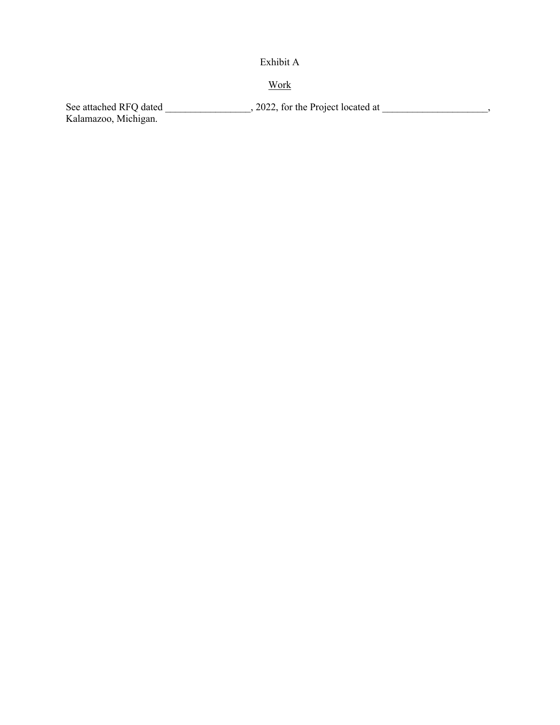# Exhibit A

# Work

See attached RFQ dated  $\qquad \qquad , 2022,$  for the Project located at  $\qquad \qquad ,$ Kalamazoo, Michigan.